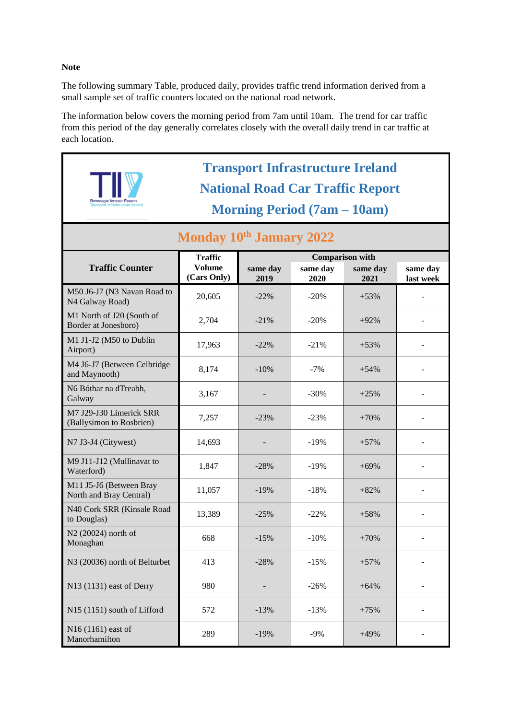## **Note**

The following summary Table, produced daily, provides traffic trend information derived from a small sample set of traffic counters located on the national road network.

The information below covers the morning period from 7am until 10am. The trend for car traffic from this period of the day generally correlates closely with the overall daily trend in car traffic at each location.

|                                                     | <b>Transport Infrastructure Ireland</b><br><b>National Road Car Traffic Report</b><br><b>Morning Period (7am – 10am)</b> |                  |                                            |                  |                       |
|-----------------------------------------------------|--------------------------------------------------------------------------------------------------------------------------|------------------|--------------------------------------------|------------------|-----------------------|
| Monday 10th January 2022                            |                                                                                                                          |                  |                                            |                  |                       |
| <b>Traffic Counter</b>                              | <b>Traffic</b><br><b>Volume</b><br>(Cars Only)                                                                           | same day<br>2019 | <b>Comparison with</b><br>same day<br>2020 | same day<br>2021 | same day<br>last week |
| M50 J6-J7 (N3 Navan Road to<br>N4 Galway Road)      | 20,605                                                                                                                   | $-22\%$          | $-20%$                                     | $+53%$           |                       |
| M1 North of J20 (South of<br>Border at Jonesboro)   | 2,704                                                                                                                    | $-21%$           | $-20%$                                     | $+92%$           |                       |
| M1 J1-J2 (M50 to Dublin<br>Airport)                 | 17,963                                                                                                                   | $-22\%$          | $-21%$                                     | $+53%$           |                       |
| M4 J6-J7 (Between Celbridge<br>and Maynooth)        | 8,174                                                                                                                    | $-10%$           | $-7%$                                      | $+54%$           |                       |
| N6 Bóthar na dTreabh,<br>Galway                     | 3,167                                                                                                                    |                  | $-30%$                                     | $+25%$           |                       |
| M7 J29-J30 Limerick SRR<br>(Ballysimon to Rosbrien) | 7,257                                                                                                                    | $-23%$           | $-23%$                                     | $+70%$           |                       |
| N7 J3-J4 (Citywest)                                 | 14,693                                                                                                                   |                  | $-19%$                                     | $+57%$           |                       |
| M9 J11-J12 (Mullinavat to<br>Waterford)             | 1,847                                                                                                                    | $-28%$           | $-19%$                                     | $+69%$           |                       |
| M11 J5-J6 (Between Bray<br>North and Bray Central)  | 11,057                                                                                                                   | $-19%$           | $-18%$                                     | $+82%$           |                       |
| N40 Cork SRR (Kinsale Road<br>to Douglas)           | 13,389                                                                                                                   | $-25%$           | $-22%$                                     | $+58%$           |                       |
| N2 (20024) north of<br>Monaghan                     | 668                                                                                                                      | $-15%$           | $-10%$                                     | $+70%$           |                       |
| N3 (20036) north of Belturbet                       | 413                                                                                                                      | $-28%$           | $-15%$                                     | $+57%$           |                       |
| N13 (1131) east of Derry                            | 980                                                                                                                      |                  | $-26%$                                     | $+64%$           |                       |
| N15 (1151) south of Lifford                         | 572                                                                                                                      | $-13%$           | $-13%$                                     | $+75%$           |                       |
| N16 (1161) east of<br>Manorhamilton                 | 289                                                                                                                      | $-19%$           | $-9%$                                      | $+49%$           |                       |